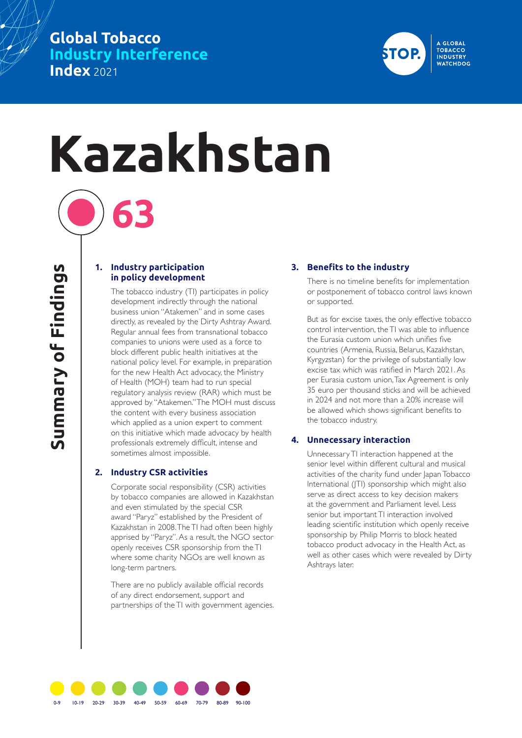# **Global Tobacco Industry Interference Index** 2021



# **Kazakhstan**

#### **1. Industry participation in policy development**

**63**

The tobacco industry (TI) participates in policy development indirectly through the national business union "Atakemen" and in some cases directly, as revealed by the Dirty Ashtray Award. Regular annual fees from transnational tobacco companies to unions were used as a force to block different public health initiatives at the national policy level. For example, in preparation for the new Health Act advocacy, the Ministry of Health (MOH) team had to run special regulatory analysis review (RAR) which must be approved by "Atakemen." The MOH must discuss the content with every business association which applied as a union expert to comment on this initiative which made advocacy by health professionals extremely difficult, intense and sometimes almost impossible.

### **2. Industry CSR activities**

Corporate social responsibility (CSR) activities by tobacco companies are allowed in Kazakhstan and even stimulated by the special CSR award "Paryz" established by the President of Kazakhstan in 2008. The TI had often been highly apprised by "Paryz". As a result, the NGO sector openly receives CSR sponsorship from the TI where some charity NGOs are well known as long-term partners.

There are no publicly available official records of any direct endorsement, support and partnerships of the TI with government agencies.

## **3. Benefits to the industry**

There is no timeline benefits for implementation or postponement of tobacco control laws known or supported.

But as for excise taxes, the only effective tobacco control intervention, the TI was able to influence the Eurasia custom union which unifies five countries (Armenia, Russia, Belarus, Kazakhstan, Kyrgyzstan) for the privilege of substantially low excise tax which was ratified in March 2021. As per Eurasia custom union, Tax Agreement is only 35 euro per thousand sticks and will be achieved in 2024 and not more than a 20% increase will be allowed which shows significant benefits to the tobacco industry.

### **4. Unnecessary interaction**

Unnecessary TI interaction happened at the senior level within different cultural and musical activities of the charity fund under Japan Tobacco International (JTI) sponsorship which might also serve as direct access to key decision makers at the government and Parliament level. Less senior but important TI interaction involved leading scientific institution which openly receive sponsorship by Philip Morris to block heated tobacco product advocacy in the Health Act, as well as other cases which were revealed by Dirty Ashtrays later.